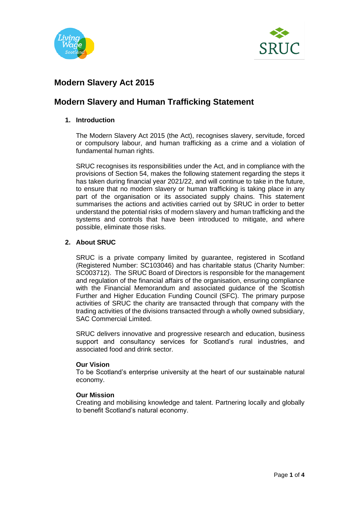



# **Modern Slavery Act 2015**

# **Modern Slavery and Human Trafficking Statement**

# **1. Introduction**

The Modern Slavery Act 2015 (the Act), recognises slavery, servitude, forced or compulsory labour, and human trafficking as a crime and a violation of fundamental human rights.

SRUC recognises its responsibilities under the Act, and in compliance with the provisions of Section 54, makes the following statement regarding the steps it has taken during financial year 2021/22, and will continue to take in the future, to ensure that no modern slavery or human trafficking is taking place in any part of the organisation or its associated supply chains. This statement summarises the actions and activities carried out by SRUC in order to better understand the potential risks of modern slavery and human trafficking and the systems and controls that have been introduced to mitigate, and where possible, eliminate those risks.

# **2. About SRUC**

SRUC is a private company limited by guarantee, registered in Scotland (Registered Number: SC103046) and has charitable status (Charity Number: SC003712). The SRUC Board of Directors is responsible for the management and regulation of the financial affairs of the organisation, ensuring compliance with the Financial Memorandum and associated guidance of the Scottish Further and Higher Education Funding Council (SFC). The primary purpose activities of SRUC the charity are transacted through that company with the trading activities of the divisions transacted through a wholly owned subsidiary, SAC Commercial Limited.

SRUC delivers innovative and progressive research and education, business support and consultancy services for Scotland's rural industries, and associated food and drink sector.

### **Our Vision**

To be Scotland's enterprise university at the heart of our sustainable natural economy.

### **Our Mission**

Creating and mobilising knowledge and talent. Partnering locally and globally to benefit Scotland's natural economy.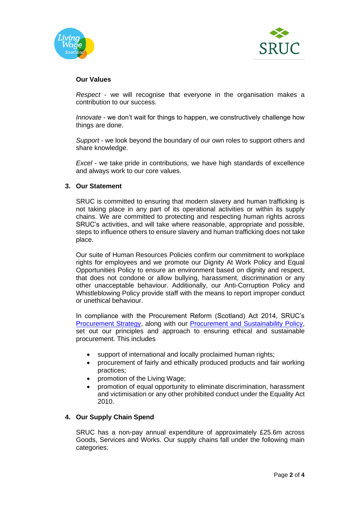



### **Our Values**

*Respect* - we will recognise that everyone in the organisation makes a contribution to our success.

*Innovate* - we don't wait for things to happen, we constructively challenge how things are done.

*Support* - we look beyond the boundary of our own roles to support others and share knowledge.

*Excel* - we take pride in contributions, we have high standards of excellence and always work to our core values.

#### **3. Our Statement**

SRUC is committed to ensuring that modern slavery and human trafficking is not taking place in any part of its operational activities or within its supply chains. We are committed to protecting and respecting human rights across SRUC's activities, and will take where reasonable, appropriate and possible, steps to influence others to ensure slavery and human trafficking does not take place.

Our suite of Human Resources Policies confirm our commitment to workplace rights for employees and we promote our Dignity At Work Policy and Equal Opportunities Policy to ensure an environment based on dignity and respect, that does not condone or allow bullying, harassment, discrimination or any other unacceptable behaviour. Additionally, our Anti-Corruption Policy and Whistleblowing Policy provide staff with the means to report improper conduct or unethical behaviour.

In compliance with the Procurement Reform (Scotland) Act 2014, SRUC's [Procurement Strategy,](https://ww1.sruc.ac.uk/media/8d8d4ebbaccea10/procurement_strategy_and_action_plan_2020.pdf) along with our [Procurement and Sustainability Policy,](https://www.sruc.ac.uk/downloads/file/1680/sruc_procurement_and_sustainability_policy) set out our principles and approach to ensuring ethical and sustainable procurement. This includes

- support of international and locally proclaimed human rights;
- procurement of fairly and ethically produced products and fair working practices;
- promotion of the Living Wage;
- promotion of equal opportunity to eliminate discrimination, harassment and victimisation or any other prohibited conduct under the Equality Act 2010.

#### **4. Our Supply Chain Spend**

SRUC has a non-pay annual expenditure of approximately £25.6m across Goods, Services and Works. Our supply chains fall under the following main categories: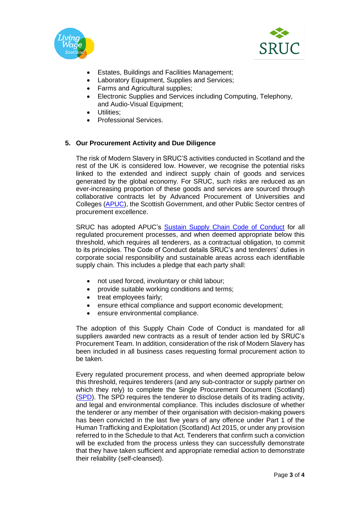



- Estates, Buildings and Facilities Management;
- Laboratory Equipment, Supplies and Services;
- Farms and Agricultural supplies;
- Electronic Supplies and Services including Computing, Telephony, and Audio-Visual Equipment;
- Utilities:
- Professional Services.

# **5. Our Procurement Activity and Due Diligence**

The risk of Modern Slavery in SRUC'S activities conducted in Scotland and the rest of the UK is considered low. However, we recognise the potential risks linked to the extended and indirect supply chain of goods and services generated by the global economy. For SRUC, such risks are reduced as an ever-increasing proportion of these goods and services are sourced through collaborative contracts let by Advanced Procurement of Universities and Colleges [\(APUC\)](http://apuc-scot.ac.uk/), the Scottish Government, and other Public Sector centres of procurement excellence.

SRUC has adopted APUC's [Sustain Supply Chain Code of Conduct](https://www.sruc.ac.uk/downloads/file/3526/sruc_supply_chain_code_of_conduct.pdf) for all regulated procurement processes, and when deemed appropriate below this threshold, which requires all tenderers, as a contractual obligation, to commit to its principles. The Code of Conduct details SRUC's and tenderers' duties in corporate social responsibility and sustainable areas across each identifiable supply chain. This includes a pledge that each party shall:

- not used forced, involuntary or child labour;
- provide suitable working conditions and terms;
- treat employees fairly;
- ensure ethical compliance and support economic development;
- ensure environmental compliance.

The adoption of this Supply Chain Code of Conduct is mandated for all suppliers awarded new contracts as a result of tender action led by SRUC's Procurement Team. In addition, consideration of the risk of Modern Slavery has been included in all business cases requesting formal procurement action to be taken.

Every regulated procurement process, and when deemed appropriate below this threshold, requires tenderers (and any sub-contractor or supply partner on which they rely) to complete the Single Procurement Document (Scotland) [\(SPD\)](https://www.procurementjourney.scot/route-2/develop-documents/exclusion-selection-and-award-criteria/single-procurement-document-spd#:~:text=Single%20Procurement%20Document%20(SPD)%20What%20is%20the%20SPD?,contains%20questions%20on%20both%20exclusion%20and%20selection%20criteria.). The SPD requires the tenderer to disclose details of its trading activity, and legal and environmental compliance. This includes disclosure of whether the tenderer or any member of their organisation with decision-making powers has been convicted in the last five years of any offence under Part 1 of the Human Trafficking and Exploitation (Scotland) Act 2015, or under any provision referred to in the Schedule to that Act. Tenderers that confirm such a conviction will be excluded from the process unless they can successfully demonstrate that they have taken sufficient and appropriate remedial action to demonstrate their reliability (self-cleansed).